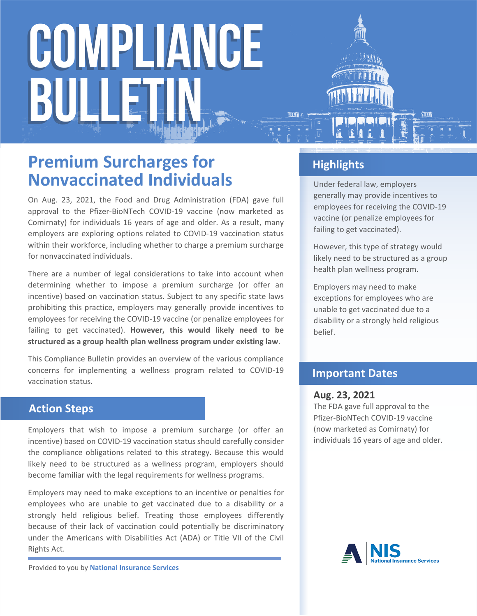# COMPLIANCE BULI

### **Premium Surcharges for Nonvaccinated Individuals**

On Aug. 23, 2021, the Food and Drug Administration (FDA) gave full approval to the Pfizer-BioNTech COVID-19 vaccine (now marketed as Comirnaty) for individuals 16 years of age and older. As a result, many employers are exploring options related to COVID-19 vaccination status within their workforce, including whether to charge a premium surcharge for nonvaccinated individuals.

There are a number of legal considerations to take into account when determining whether to impose a premium surcharge (or offer an incentive) based on vaccination status. Subject to any specific state laws prohibiting this practice, employers may generally provide incentives to employees for receiving the COVID-19 vaccine (or penalize employees for failing to get vaccinated). **However, this would likely need to be structured as a group health plan wellness program under existing law**.

This Compliance Bulletin provides an overview of the various compliance concerns for implementing a wellness program related to COVID-19 vaccination status.

### **Action Steps**

Employers that wish to impose a premium surcharge (or offer an incentive) based on COVID-19 vaccination status should carefully consider the compliance obligations related to this strategy. Because this would likely need to be structured as a wellness program, employers should become familiar with the legal requirements for wellness programs.

Employers may need to make exceptions to an incentive or penalties for employees who are unable to get vaccinated due to a disability or a strongly held religious belief. Treating those employees differently because of their lack of vaccination could potentially be discriminatory under the Americans with Disabilities Act (ADA) or Title VII of the Civil Rights Act.

Provided to you by **National Insurance Services**

### **Highlights**

Under federal law, employers generally may provide incentives to employees for receiving the COVID-19 vaccine (or penalize employees for failing to get vaccinated).

However, this type of strategy would likely need to be structured as a group health plan wellness program.

Employers may need to make exceptions for employees who are unable to get vaccinated due to a disability or a strongly held religious belief.

### **Important Dates**

#### **Aug. 23, 2021**

The FDA gave full approval to the Pfizer-BioNTech COVID-19 vaccine (now marketed as Comirnaty) for individuals 16 years of age and older.

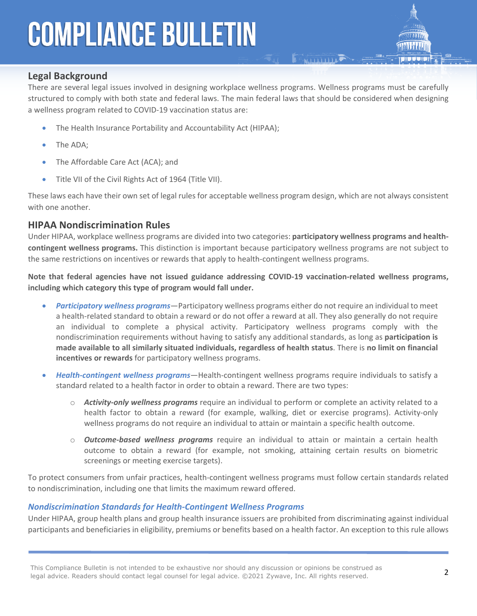

There are several legal issues involved in designing workplace wellness programs. Wellness programs must be carefully structured to comply with both state and federal laws. The main federal laws that should be considered when designing a wellness program related to COVID-19 vaccination status are:

**E ANTIQUES** 

- The Health Insurance Portability and Accountability Act (HIPAA);
- The ADA;
- The Affordable Care Act (ACA); and
- Title VII of the Civil Rights Act of 1964 (Title VII).

These laws each have their own set of legal rules for acceptable wellness program design, which are not always consistent with one another.

### **HIPAA Nondiscrimination Rules**

Under HIPAA, workplace wellness programs are divided into two categories: **participatory wellness programs and healthcontingent wellness programs.** This distinction is important because participatory wellness programs are not subject to the same restrictions on incentives or rewards that apply to health-contingent wellness programs.

**Note that federal agencies have not issued guidance addressing COVID-19 vaccination-related wellness programs, including which category this type of program would fall under.**

- *Participatory wellness programs*—Participatory wellness programs either do not require an individual to meet a health-related standard to obtain a reward or do not offer a reward at all. They also generally do not require an individual to complete a physical activity. Participatory wellness programs comply with the nondiscrimination requirements without having to satisfy any additional standards, as long as **participation is made available to all similarly situated individuals, regardless of health status**. There is **no limit on financial incentives or rewards** for participatory wellness programs.
- *Health-contingent wellness programs*—Health-contingent wellness programs require individuals to satisfy a standard related to a health factor in order to obtain a reward. There are two types:
	- o *Activity-only wellness programs* require an individual to perform or complete an activity related to a health factor to obtain a reward (for example, walking, diet or exercise programs). Activity-only wellness programs do not require an individual to attain or maintain a specific health outcome.
	- o *Outcome-based wellness programs* require an individual to attain or maintain a certain health outcome to obtain a reward (for example, not smoking, attaining certain results on biometric screenings or meeting exercise targets).

To protect consumers from unfair practices, health-contingent wellness programs must follow certain standards related to nondiscrimination, including one that limits the maximum reward offered.

#### *Nondiscrimination Standards for Health-Contingent Wellness Programs*

Under HIPAA, group health plans and group health insurance issuers are prohibited from discriminating against individual participants and beneficiaries in eligibility, premiums or benefits based on a health factor. An exception to this rule allows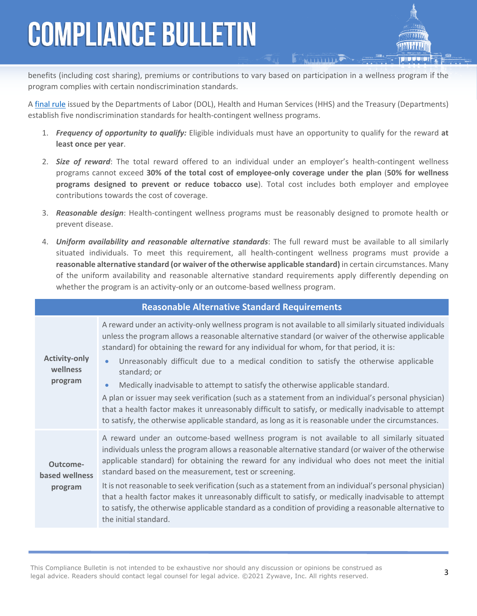benefits (including cost sharing), premiums or contributions to vary based on participation in a wellness program if the program complies with certain nondiscrimination standards.

A [final rule](https://www.federalregister.gov/articles/2013/06/03/2013-12916/incentives-for-nondiscriminatory-wellness-programs-in-group-health-plans) issued by the Departments of Labor (DOL), Health and Human Services (HHS) and the Treasury (Departments) establish five nondiscrimination standards for health-contingent wellness programs.

- 1. *Frequency of opportunity to qualify:* Eligible individuals must have an opportunity to qualify for the reward **at least once per year**.
- 2. *Size of reward*: The total reward offered to an individual under an employer's health-contingent wellness programs cannot exceed **30% of the total cost of employee-only coverage under the plan** (**50% for wellness programs designed to prevent or reduce tobacco use**). Total cost includes both employer and employee contributions towards the cost of coverage.
- 3. *Reasonable design*: Health-contingent wellness programs must be reasonably designed to promote health or prevent disease.
- 4. *Uniform availability and reasonable alternative standards*: The full reward must be available to all similarly situated individuals. To meet this requirement, all health-contingent wellness programs must provide a **reasonable alternative standard (or waiver of the otherwise applicable standard)** in certain circumstances. Many of the uniform availability and reasonable alternative standard requirements apply differently depending on whether the program is an activity-only or an outcome-based wellness program.

| <b>Reasonable Alternative Standard Requirements</b> |                                                                                                                                                                                                                                                                                                                                                                                                                                                                                                                                                                                                                                                                                                                                                                                                                                         |
|-----------------------------------------------------|-----------------------------------------------------------------------------------------------------------------------------------------------------------------------------------------------------------------------------------------------------------------------------------------------------------------------------------------------------------------------------------------------------------------------------------------------------------------------------------------------------------------------------------------------------------------------------------------------------------------------------------------------------------------------------------------------------------------------------------------------------------------------------------------------------------------------------------------|
| <b>Activity-only</b><br>wellness<br>program         | A reward under an activity-only wellness program is not available to all similarly situated individuals<br>unless the program allows a reasonable alternative standard (or waiver of the otherwise applicable<br>standard) for obtaining the reward for any individual for whom, for that period, it is:<br>Unreasonably difficult due to a medical condition to satisfy the otherwise applicable<br>standard; or<br>Medically inadvisable to attempt to satisfy the otherwise applicable standard.<br>$\bullet$<br>A plan or issuer may seek verification (such as a statement from an individual's personal physician)<br>that a health factor makes it unreasonably difficult to satisfy, or medically inadvisable to attempt<br>to satisfy, the otherwise applicable standard, as long as it is reasonable under the circumstances. |
| Outcome-<br>based wellness<br>program               | A reward under an outcome-based wellness program is not available to all similarly situated<br>individuals unless the program allows a reasonable alternative standard (or waiver of the otherwise<br>applicable standard) for obtaining the reward for any individual who does not meet the initial<br>standard based on the measurement, test or screening.<br>It is not reasonable to seek verification (such as a statement from an individual's personal physician)<br>that a health factor makes it unreasonably difficult to satisfy, or medically inadvisable to attempt<br>to satisfy, the otherwise applicable standard as a condition of providing a reasonable alternative to<br>the initial standard.                                                                                                                      |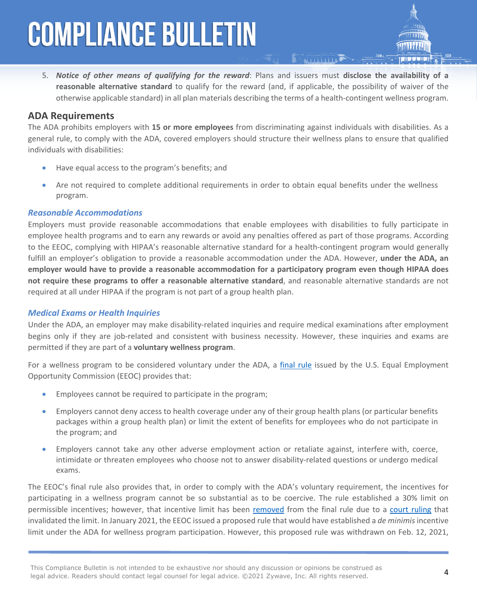5. *Notice of other means of qualifying for the reward*: Plans and issuers must **disclose the availability of a reasonable alternative standard** to qualify for the reward (and, if applicable, the possibility of waiver of the otherwise applicable standard) in all plan materials describing the terms of a health-contingent wellness program.

### **ADA Requirements**

The ADA prohibits employers with **15 or more employees** from discriminating against individuals with disabilities. As a general rule, to comply with the ADA, covered employers should structure their wellness plans to ensure that qualified individuals with disabilities:

- Have equal access to the program's benefits; and
- Are not required to complete additional requirements in order to obtain equal benefits under the wellness program.

#### *Reasonable Accommodations*

Employers must provide reasonable accommodations that enable employees with disabilities to fully participate in employee health programs and to earn any rewards or avoid any penalties offered as part of those programs. According to the EEOC, complying with HIPAA's reasonable alternative standard for a health-contingent program would generally fulfill an employer's obligation to provide a reasonable accommodation under the ADA. However, **under the ADA, an employer would have to provide a reasonable accommodation for a participatory program even though HIPAA does not require these programs to offer a reasonable alternative standard**, and reasonable alternative standards are not required at all under HIPAA if the program is not part of a group health plan.

#### *Medical Exams or Health Inquiries*

Under the ADA, an employer may make disability-related inquiries and require medical examinations after employment begins only if they are job-related and consistent with business necessity. However, these inquiries and exams are permitted if they are part of a **voluntary wellness program**.

For a wellness program to be considered voluntary under the ADA, a [final rule](https://www.federalregister.gov/articles/2016/05/17/2016-11558/regulations-under-the-americans-with-disabilities-act) issued by the U.S. Equal Employment Opportunity Commission (EEOC) provides that:

- Employees cannot be required to participate in the program;
- Employers cannot deny access to health coverage under any of their group health plans (or particular benefits packages within a group health plan) or limit the extent of benefits for employees who do not participate in the program; and
- Employers cannot take any other adverse employment action or retaliate against, interfere with, coerce, intimidate or threaten employees who choose not to answer disability-related questions or undergo medical exams.

The EEOC's final rule also provides that, in order to comply with the ADA's voluntary requirement, the incentives for participating in a wellness program cannot be so substantial as to be coercive. The rule established a 30% limit on permissible incentives; however, that incentive limit has been [removed](https://www.federalregister.gov/documents/2018/12/20/2018-27539/removal-of-final-ada-wellness-rule-vacated-by-court) from the final rule due to a [court ruling](https://ecf.dcd.uscourts.gov/cgi-bin/show_public_doc?2016cv2113-47) that invalidated the limit. In January 2021, the EEOC issued a proposed rule that would have established a *de minimis* incentive limit under the ADA for wellness program participation. However, this proposed rule was withdrawn on Feb. 12, 2021,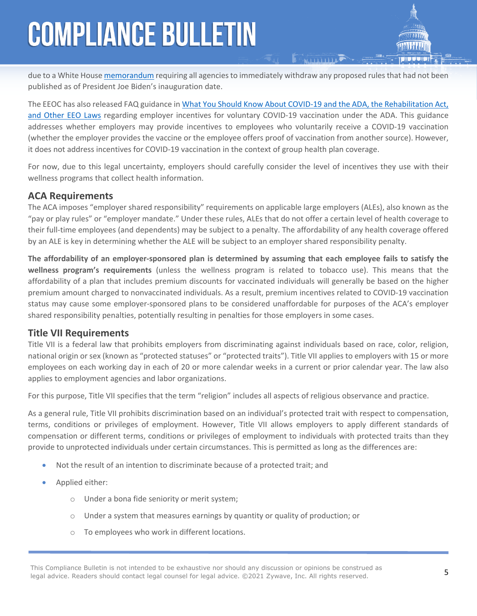due to a White House [memorandum](https://www.whitehouse.gov/briefing-room/presidential-actions/2021/01/20/regulatory-freeze-pending-review/) requiring all agencies to immediately withdraw any proposed rules that had not been published as of President Joe Biden's inauguration date.

The EEOC has also released FAQ guidance in [What You Should Know About COVID-19 and the ADA, the Rehabilitation Act,](https://www.eeoc.gov/wysk/what-you-should-know-about-covid-19-and-ada-rehabilitation-act-and-other-eeo-laws)  [and Other EEO Laws](https://www.eeoc.gov/wysk/what-you-should-know-about-covid-19-and-ada-rehabilitation-act-and-other-eeo-laws) regarding employer incentives for voluntary COVID-19 vaccination under the ADA. This guidance addresses whether employers may provide incentives to employees who voluntarily receive a COVID-19 vaccination (whether the employer provides the vaccine or the employee offers proof of vaccination from another source). However, it does not address incentives for COVID-19 vaccination in the context of group health plan coverage.

For now, due to this legal uncertainty, employers should carefully consider the level of incentives they use with their wellness programs that collect health information.

### **ACA Requirements**

The ACA imposes "employer shared responsibility" requirements on applicable large employers (ALEs), also known as the "pay or play rules" or "employer mandate." Under these rules, ALEs that do not offer a certain level of health coverage to their full-time employees (and dependents) may be subject to a penalty. The affordability of any health coverage offered by an ALE is key in determining whether the ALE will be subject to an employer shared responsibility penalty.

**The affordability of an employer-sponsored plan is determined by assuming that each employee fails to satisfy the wellness program's requirements** (unless the wellness program is related to tobacco use). This means that the affordability of a plan that includes premium discounts for vaccinated individuals will generally be based on the higher premium amount charged to nonvaccinated individuals. As a result, premium incentives related to COVID-19 vaccination status may cause some employer-sponsored plans to be considered unaffordable for purposes of the ACA's employer shared responsibility penalties, potentially resulting in penalties for those employers in some cases.

### **Title VII Requirements**

Title VII is a federal law that prohibits employers from discriminating against individuals based on race, color, religion, national origin or sex (known as "protected statuses" or "protected traits"). Title VII applies to employers with 15 or more employees on each working day in each of 20 or more calendar weeks in a current or prior calendar year. The law also applies to employment agencies and labor organizations.

For this purpose, Title VII specifies that the term "religion" includes all aspects of religious observance and practice.

As a general rule, Title VII prohibits discrimination based on an individual's protected trait with respect to compensation, terms, conditions or privileges of employment. However, Title VII allows employers to apply different standards of compensation or different terms, conditions or privileges of employment to individuals with protected traits than they provide to unprotected individuals under certain circumstances. This is permitted as long as the differences are:

- Not the result of an intention to discriminate because of a protected trait; and
- Applied either:
	- o Under a bona fide seniority or merit system;
	- o Under a system that measures earnings by quantity or quality of production; or
	- o To employees who work in different locations.